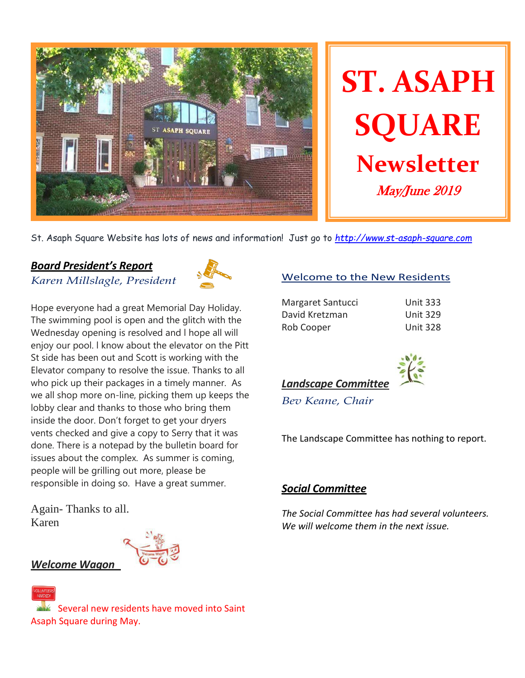

St. Asaph Square Website has lots of news and information! Just go to *[http://www.st-asaph-square.com](http://www.st-asaph-square.com/)*

# *Board President's Report*

*Karen Millslagle, President*



Hope everyone had a great Memorial Day Holiday. The swimming pool is open and the glitch with the Wednesday opening is resolved and l hope all will enjoy our pool. l know about the elevator on the Pitt St side has been out and Scott is working with the Elevator company to resolve the issue. Thanks to all who pick up their packages in a timely manner. As we all shop more on-line, picking them up keeps the lobby clear and thanks to those who bring them inside the door. Don't forget to get your dryers vents checked and give a copy to Serry that it was done. There is a notepad by the bulletin board for issues about the complex. As summer is coming, people will be grilling out more, please be responsible in doing so. Have a great summer.

Again- Thanks to all. Karen



## Welcome to the New Residents

| Margaret Santucci |  |
|-------------------|--|
| David Kretzman    |  |
| Rob Cooper        |  |

Unit 333 Unit 329 Unit 328



*Bev Keane, Chair* 

The Landscape Committee has nothing to report.

## *Social Committee*

*The Social Committee has had several volunteers. We will welcome them in the next issue.*

# *Welcome Wagon*

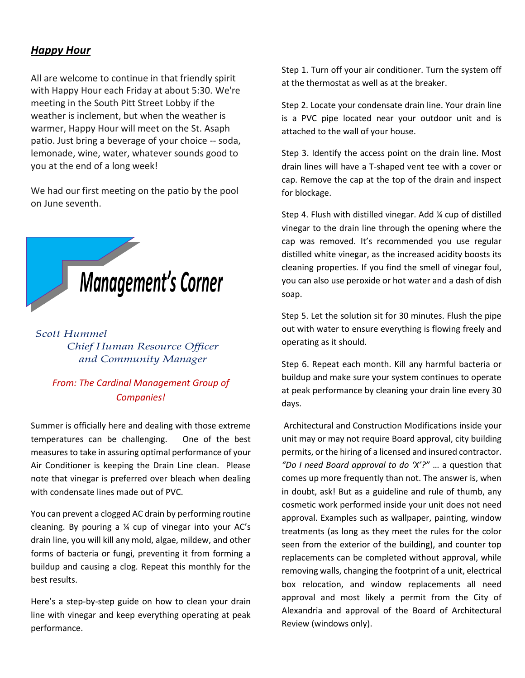## *Happy Hour*

All are welcome to continue in that friendly spirit with Happy Hour each Friday at about 5:30. We're meeting in the South Pitt Street Lobby if the weather is inclement, but when the weather is warmer, Happy Hour will meet on the St. Asaph patio. Just bring a beverage of your choice -- soda, lemonade, wine, water, whatever sounds good to you at the end of a long week!

We had our first meeting on the patio by the pool on June seventh.



## *Scott Hummel Chief Human Resource Officer and Community Manager*

# *From: The Cardinal Management Group of Companies!*

Summer is officially here and dealing with those extreme temperatures can be challenging. One of the best measures to take in assuring optimal performance of your Air Conditioner is keeping the Drain Line clean. Please note that vinegar is preferred over bleach when dealing with condensate lines made out of PVC.

You can prevent a clogged AC drain by performing routine cleaning. By pouring a ¼ cup of vinegar into your AC's drain line, you will kill any mold, algae, mildew, and other forms of bacteria or fungi, preventing it from forming a buildup and causing a clog. Repeat this monthly for the best results.

Here's a step-by-step guide on how to clean your drain line with vinegar and keep everything operating at peak performance.

Step 1. Turn off your air conditioner. Turn the system off at the thermostat as well as at the breaker.

Step 2. Locate your condensate drain line. Your drain line is a PVC pipe located near your outdoor unit and is attached to the wall of your house.

Step 3. Identify the access point on the drain line. Most drain lines will have a T-shaped vent tee with a cover or cap. Remove the cap at the top of the drain and inspect for blockage.

Step 4. Flush with distilled vinegar. Add ¼ cup of distilled vinegar to the drain line through the opening where the cap was removed. It's recommended you use regular distilled white vinegar, as the increased acidity boosts its cleaning properties. If you find the smell of vinegar foul, you can also use peroxide or hot water and a dash of dish soap.

Step 5. Let the solution sit for 30 minutes. Flush the pipe out with water to ensure everything is flowing freely and operating as it should.

Step 6. Repeat each month. Kill any harmful bacteria or buildup and make sure your system continues to operate at peak performance by cleaning your drain line every 30 days.

Architectural and Construction Modifications inside your unit may or may not require Board approval, city building permits, or the hiring of a licensed and insured contractor. *"Do I need Board approval to do 'X'?"* … a question that comes up more frequently than not. The answer is, when in doubt, ask! But as a guideline and rule of thumb, any cosmetic work performed inside your unit does not need approval. Examples such as wallpaper, painting, window treatments (as long as they meet the rules for the color seen from the exterior of the building), and counter top replacements can be completed without approval, while removing walls, changing the footprint of a unit, electrical box relocation, and window replacements all need approval and most likely a permit from the City of Alexandria and approval of the Board of Architectural Review (windows only).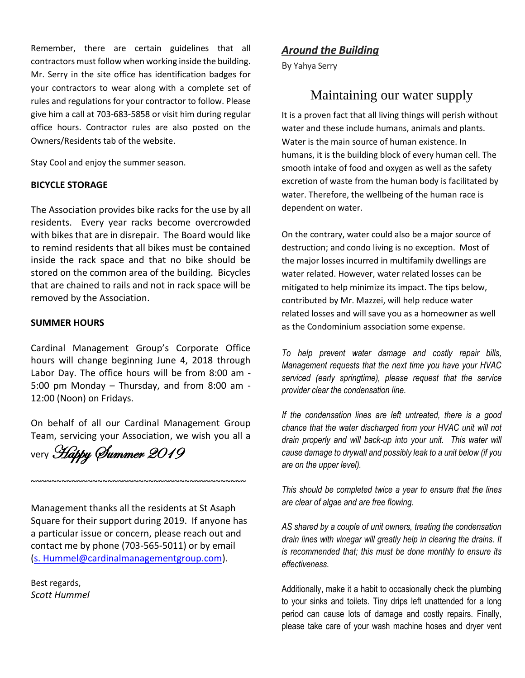Remember, there are certain guidelines that all contractors must follow when working inside the building. Mr. Serry in the site office has identification badges for your contractors to wear along with a complete set of rules and regulations for your contractor to follow. Please give him a call at 703-683-5858 or visit him during regular office hours. Contractor rules are also posted on the Owners/Residents tab of the website.

Stay Cool and enjoy the summer season.

#### **BICYCLE STORAGE**

The Association provides bike racks for the use by all residents. Every year racks become overcrowded with bikes that are in disrepair. The Board would like to remind residents that all bikes must be contained inside the rack space and that no bike should be stored on the common area of the building. Bicycles that are chained to rails and not in rack space will be removed by the Association.

#### **SUMMER HOURS**

Cardinal Management Group's Corporate Office hours will change beginning June 4, 2018 through Labor Day. The office hours will be from 8:00 am - 5:00 pm Monday – Thursday, and from 8:00 am - 12:00 (Noon) on Fridays.

On behalf of all our Cardinal Management Group Team, servicing your Association, we wish you all a

very Happy Summer 2019

Management thanks all the residents at St Asaph Square for their support during 2019. If anyone has a particular issue or concern, please reach out and contact me by phone (703-565-5011) or by email [\(s. Hummel@cardinalmanagementgroup.com\)](mailto:s.%20Hummel@cardinalmanagementgroup.com).

~~~~~~~~~~~~~~~~~~~~~~~~~~~~~~~~~~~~~~~~~~

Best regards, *Scott Hummel*

#### *Around the Building*

By Yahya Serry

# Maintaining our water supply

It is a proven fact that all living things will perish without water and these include humans, animals and plants. Water is the main source of human existence. In humans, it is the building block of every human cell. The smooth intake of food and oxygen as well as the safety excretion of waste from the human body is facilitated by water. Therefore, the wellbeing of the human race is dependent on water.

On the contrary, water could also be a major source of destruction; and condo living is no exception. Most of the major losses incurred in multifamily dwellings are water related. However, water related losses can be mitigated to help minimize its impact. The tips below, contributed by Mr. Mazzei, will help reduce water related losses and will save you as a homeowner as well as the Condominium association some expense.

*To help prevent water damage and costly repair bills, Management requests that the next time you have your HVAC serviced (early springtime), please request that the service provider clear the condensation line.*

*If the condensation lines are left untreated, there is a good chance that the water discharged from your HVAC unit will not drain properly and will back-up into your unit. This water will cause damage to drywall and possibly leak to a unit below (if you are on the upper level).*

*This should be completed twice a year to ensure that the lines are clear of algae and are free flowing.* 

*AS shared by a couple of unit owners, treating the condensation drain lines with vinegar will greatly help in clearing the drains. It is recommended that; this must be done monthly to ensure its effectiveness.*

Additionally, make it a habit to occasionally check the plumbing to your sinks and toilets. Tiny drips left unattended for a long period can cause lots of damage and costly repairs. Finally, please take care of your wash machine hoses and dryer vent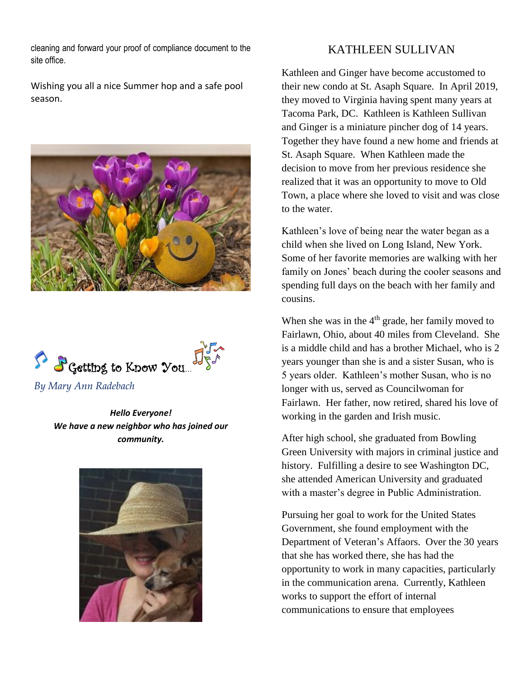cleaning and forward your proof of compliance document to the site office.

Wishing you all a nice Summer hop and a safe pool season.





*By Mary Ann Radebach*

*Hello Everyone! We have a new neighbor who has joined our community.*



# KATHLEEN SULLIVAN

Kathleen and Ginger have become accustomed to their new condo at St. Asaph Square. In April 2019, they moved to Virginia having spent many years at Tacoma Park, DC. Kathleen is Kathleen Sullivan and Ginger is a miniature pincher dog of 14 years. Together they have found a new home and friends at St. Asaph Square. When Kathleen made the decision to move from her previous residence she realized that it was an opportunity to move to Old Town, a place where she loved to visit and was close to the water.

Kathleen's love of being near the water began as a child when she lived on Long Island, New York. Some of her favorite memories are walking with her family on Jones' beach during the cooler seasons and spending full days on the beach with her family and cousins.

When she was in the  $4<sup>th</sup>$  grade, her family moved to Fairlawn, Ohio, about 40 miles from Cleveland. She is a middle child and has a brother Michael, who is 2 years younger than she is and a sister Susan, who is 5 years older. Kathleen's mother Susan, who is no longer with us, served as Councilwoman for Fairlawn. Her father, now retired, shared his love of working in the garden and Irish music.

After high school, she graduated from Bowling Green University with majors in criminal justice and history. Fulfilling a desire to see Washington DC, she attended American University and graduated with a master's degree in Public Administration.

Pursuing her goal to work for the United States Government, she found employment with the Department of Veteran's Affaors. Over the 30 years that she has worked there, she has had the opportunity to work in many capacities, particularly in the communication arena. Currently, Kathleen works to support the effort of internal communications to ensure that employees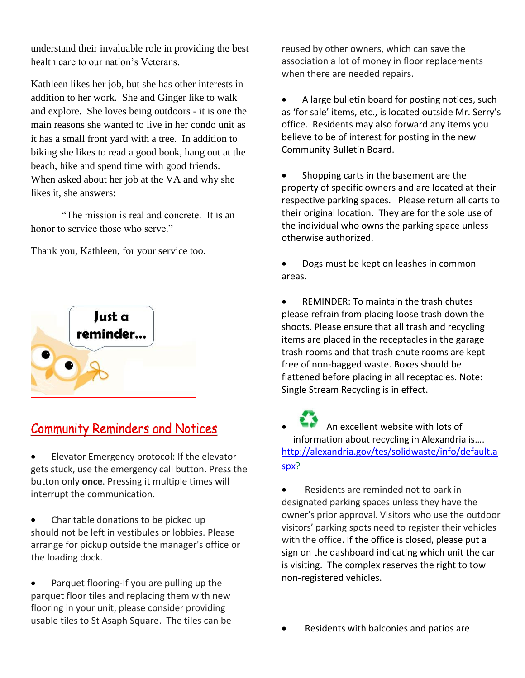understand their invaluable role in providing the best health care to our nation's Veterans.

Kathleen likes her job, but she has other interests in addition to her work. She and Ginger like to walk and explore. She loves being outdoors - it is one the main reasons she wanted to live in her condo unit as it has a small front yard with a tree. In addition to biking she likes to read a good book, hang out at the beach, hike and spend time with good friends. When asked about her job at the VA and why she likes it, she answers:

"The mission is real and concrete. It is an honor to service those who serve."

Thank you, Kathleen, for your service too.



# **Community Reminders and Notices**

• Elevator Emergency protocol: If the elevator gets stuck, use the emergency call button. Press the button only **once**. Pressing it multiple times will interrupt the communication.

• Charitable donations to be picked up should not be left in vestibules or lobbies. Please arrange for pickup outside the manager's office or the loading dock.

• Parquet flooring-If you are pulling up the parquet floor tiles and replacing them with new flooring in your unit, please consider providing usable tiles to St Asaph Square. The tiles can be reused by other owners, which can save the association a lot of money in floor replacements when there are needed repairs.

• A large bulletin board for posting notices, such as 'for sale' items, etc., is located outside Mr. Serry's office. Residents may also forward any items you believe to be of interest for posting in the new Community Bulletin Board.

• Shopping carts in the basement are the property of specific owners and are located at their respective parking spaces. Please return all carts to their original location. They are for the sole use of the individual who owns the parking space unless otherwise authorized.

• Dogs must be kept on leashes in common areas.

• REMINDER: To maintain the trash chutes please refrain from placing loose trash down the shoots. Please ensure that all trash and recycling items are placed in the receptacles in the garage trash rooms and that trash chute rooms are kept free of non-bagged waste. Boxes should be flattened before placing in all receptacles. Note: Single Stream Recycling is in effect.

• An excellent website with lots of information about recycling in Alexandria is…. [http://alexandria.gov/tes/solidwaste/info/default.a](http://alexandria.gov/tes/solidwaste/info/default.aspx) [spx?](http://alexandria.gov/tes/solidwaste/info/default.aspx)

• Residents are reminded not to park in designated parking spaces unless they have the owner's prior approval. Visitors who use the outdoor visitors' parking spots need to register their vehicles with the office. If the office is closed, please put a sign on the dashboard indicating which unit the car is visiting. The complex reserves the right to tow non-registered vehicles.

• Residents with balconies and patios are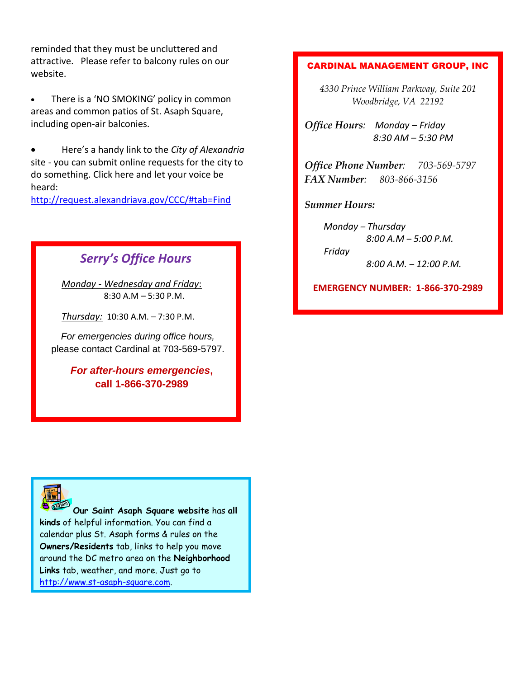reminded that they must be uncluttered and attractive. Please refer to balcony rules on our website.

• There is a 'NO SMOKING' policy in common areas and common patios of St. Asaph Square, including open-air balconies.

• Here's a handy link to the *City of Alexandria* site - you can submit online requests for the city to do something. Click here and let your voice be heard:

<http://request.alexandriava.gov/CCC/#tab=Find>

# *Serry's Office Hours*

*Monday - Wednesday and Friday*: 8:30 A.M – 5:30 P.M.

*Thursday:* 10:30 A.M. – 7:30 P.M.

*For emergencies during office hours,* please contact Cardinal at 703-569-5797.

> *For after-hours emergencies***, call 1-866-370-2989**

#### CARDINAL MANAGEMENT GROUP, INC

*4330 Prince William Parkway, Suite 201 Woodbridge, VA 22192*

*Office Hours: Monday – Friday 8:30 AM – 5:30 PM*

*Office Phone Number: 703-569-5797 FAX Number: 803-866-3156*

*Summer Hours:*

*Friday*

*Monday – Thursday 8:00 A.M – 5:00 P.M.*

*8:00 A.M. – 12:00 P.M.*

**EMERGENCY NUMBER: 1-866-370-2989**



**Our Saint Asaph Square website** has **all kinds** of helpful information. You can find a calendar plus St. Asaph forms & rules on the **Owners/Residents** tab, links to help you move around the DC metro area on the **Neighborhood Links** tab, weather, and more. Just go to [http://www.st-asaph-square.com.](http://www.st-asaph-square.com/)